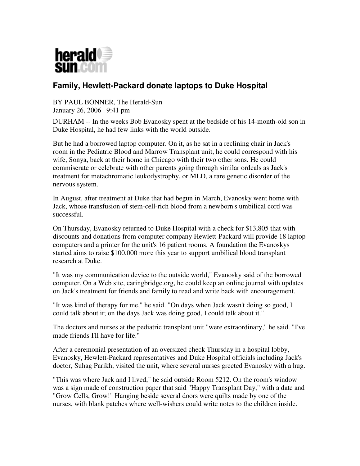

## **Family, Hewlett-Packard donate laptops to Duke Hospital**

BY PAUL BONNER, The Herald-Sun January 26, 2006 9:41 pm

DURHAM -- In the weeks Bob Evanosky spent at the bedside of his 14-month-old son in Duke Hospital, he had few links with the world outside.

But he had a borrowed laptop computer. On it, as he sat in a reclining chair in Jack's room in the Pediatric Blood and Marrow Transplant unit, he could correspond with his wife, Sonya, back at their home in Chicago with their two other sons. He could commiserate or celebrate with other parents going through similar ordeals as Jack's treatment for metachromatic leukodystrophy, or MLD, a rare genetic disorder of the nervous system.

In August, after treatment at Duke that had begun in March, Evanosky went home with Jack, whose transfusion of stem-cell-rich blood from a newborn's umbilical cord was successful.

On Thursday, Evanosky returned to Duke Hospital with a check for \$13,805 that with discounts and donations from computer company Hewlett-Packard will provide 18 laptop computers and a printer for the unit's 16 patient rooms. A foundation the Evanoskys started aims to raise \$100,000 more this year to support umbilical blood transplant research at Duke.

"It was my communication device to the outside world," Evanosky said of the borrowed computer. On a Web site, caringbridge.org, he could keep an online journal with updates on Jack's treatment for friends and family to read and write back with encouragement.

"It was kind of therapy for me," he said. "On days when Jack wasn't doing so good, I could talk about it; on the days Jack was doing good, I could talk about it."

The doctors and nurses at the pediatric transplant unit "were extraordinary," he said. "I've made friends I'll have for life."

After a ceremonial presentation of an oversized check Thursday in a hospital lobby, Evanosky, Hewlett-Packard representatives and Duke Hospital officials including Jack's doctor, Suhag Parikh, visited the unit, where several nurses greeted Evanosky with a hug.

"This was where Jack and I lived," he said outside Room 5212. On the room's window was a sign made of construction paper that said "Happy Transplant Day," with a date and "Grow Cells, Grow!" Hanging beside several doors were quilts made by one of the nurses, with blank patches where well-wishers could write notes to the children inside.